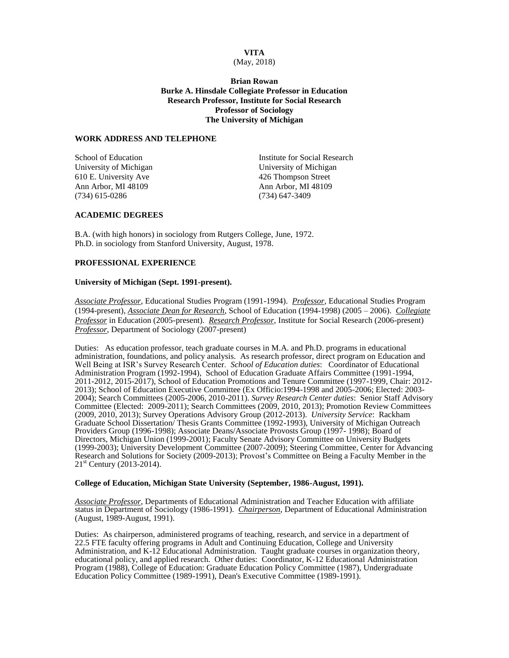# **VITA**

### (May, 2018)

**Brian Rowan Burke A. Hinsdale Collegiate Professor in Education Research Professor, Institute for Social Research Professor of Sociology The University of Michigan**

### **WORK ADDRESS AND TELEPHONE**

610 E. University Ave 426 Thompson Street Ann Arbor, MI 48109 **Ann Arbor**, MI 48109 (734) 615-0286 (734) 647-3409

School of Education **Institute For Social Research** University of Michigan University of Michigan

## **ACADEMIC DEGREES**

B.A. (with high honors) in sociology from Rutgers College, June, 1972. Ph.D. in sociology from Stanford University, August, 1978.

## **PROFESSIONAL EXPERIENCE**

### **University of Michigan (Sept. 1991-present).**

*Associate Professor*, Educational Studies Program (1991-1994). *Professor*, Educational Studies Program (1994-present), *Associate Dean for Research*, School of Education (1994-1998) (2005 – 2006). *Collegiate Professor* in Education (2005-present). *Research Professor*, Institute for Social Research (2006-present) *Professor*, Department of Sociology (2007-present)

Duties: As education professor, teach graduate courses in M.A. and Ph.D. programs in educational administration, foundations, and policy analysis. As research professor, direct program on Education and Well Being at ISR's Survey Research Center. *School of Education duties*: Coordinator of Educational Administration Program (1992-1994), School of Education Graduate Affairs Committee (1991-1994, 2011-2012, 2015-2017), School of Education Promotions and Tenure Committee (1997-1999, Chair: 2012- 2013); School of Education Executive Committee (Ex Officio:1994-1998 and 2005-2006; Elected: 2003- 2004); Search Committees (2005-2006, 2010-2011). *Survey Research Center duties*: Senior Staff Advisory Committee (Elected: 2009-2011); Search Committees (2009, 2010, 2013); Promotion Review Committees (2009, 2010, 2013); Survey Operations Advisory Group (2012-2013). *University Service*: Rackham Graduate School Dissertation/ Thesis Grants Committee (1992-1993), University of Michigan Outreach Providers Group (1996-1998); Associate Deans/Associate Provosts Group (1997-1998); Board of Directors, Michigan Union (1999-2001); Faculty Senate Advisory Committee on University Budgets (1999-2003); University Development Committee (2007-2009); Steering Committee, Center for Advancing Research and Solutions for Society (2009-2013); Provost's Committee on Being a Faculty Member in the  $21^{\text{st}}$  Century (2013-2014).

#### **College of Education, Michigan State University (September, 1986-August, 1991).**

*Associate Professor*, Departments of Educational Administration and Teacher Education with affiliate status in Department of Sociology (1986-1991). *Chairperson*, Department of Educational Administration (August, 1989-August, 1991).

Duties: As chairperson, administered programs of teaching, research, and service in a department of 22.5 FTE faculty offering programs in Adult and Continuing Education, College and University Administration, and K-12 Educational Administration. Taught graduate courses in organization theory, educational policy, and applied research. Other duties: Coordinator, K-12 Educational Administration Program (1988), College of Education: Graduate Education Policy Committee (1987), Undergraduate Education Policy Committee (1989-1991), Dean's Executive Committee (1989-1991).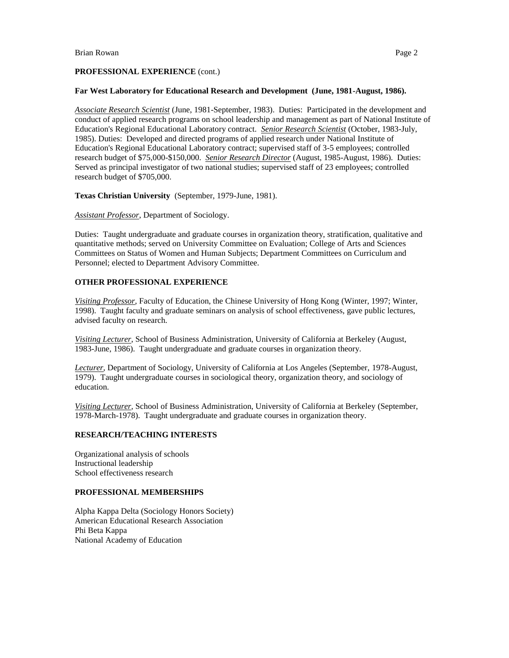## **PROFESSIONAL EXPERIENCE** (cont.)

### **Far West Laboratory for Educational Research and Development (June, 1981-August, 1986).**

*Associate Research Scientist* (June, 1981-September, 1983). Duties: Participated in the development and conduct of applied research programs on school leadership and management as part of National Institute of Education's Regional Educational Laboratory contract. *Senior Research Scientist* (October, 1983-July, 1985). Duties: Developed and directed programs of applied research under National Institute of Education's Regional Educational Laboratory contract; supervised staff of 3-5 employees; controlled research budget of \$75,000-\$150,000. *Senior Research Director* (August, 1985-August, 1986). Duties: Served as principal investigator of two national studies; supervised staff of 23 employees; controlled research budget of \$705,000.

**Texas Christian University** (September, 1979-June, 1981).

*Assistant Professor*, Department of Sociology.

Duties: Taught undergraduate and graduate courses in organization theory, stratification, qualitative and quantitative methods; served on University Committee on Evaluation; College of Arts and Sciences Committees on Status of Women and Human Subjects; Department Committees on Curriculum and Personnel; elected to Department Advisory Committee.

### **OTHER PROFESSIONAL EXPERIENCE**

*Visiting Professor,* Faculty of Education, the Chinese University of Hong Kong (Winter, 1997; Winter, 1998). Taught faculty and graduate seminars on analysis of school effectiveness, gave public lectures, advised faculty on research.

*Visiting Lecturer*, School of Business Administration, University of California at Berkeley (August, 1983-June, 1986). Taught undergraduate and graduate courses in organization theory.

*Lecturer*, Department of Sociology, University of California at Los Angeles (September, 1978-August, 1979). Taught undergraduate courses in sociological theory, organization theory, and sociology of education.

*Visiting Lecturer,* School of Business Administration, University of California at Berkeley (September, 1978-March-1978). Taught undergraduate and graduate courses in organization theory.

## **RESEARCH/TEACHING INTERESTS**

Organizational analysis of schools Instructional leadership School effectiveness research

# **PROFESSIONAL MEMBERSHIPS**

Alpha Kappa Delta (Sociology Honors Society) American Educational Research Association Phi Beta Kappa National Academy of Education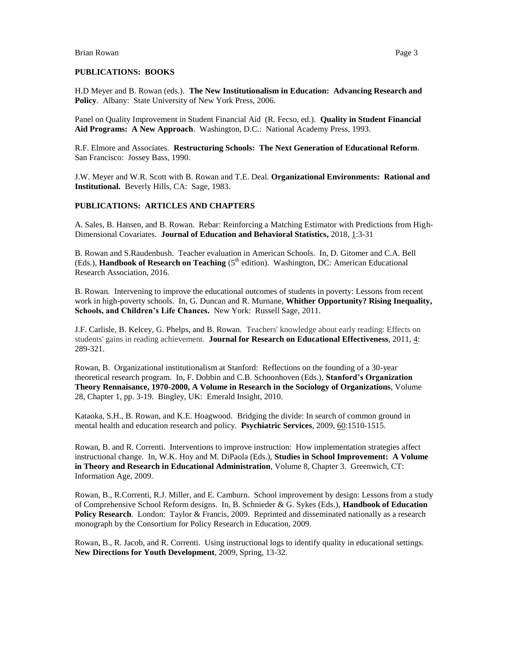#### **PUBLICATIONS: BOOKS**

H.D Meyer and B. Rowan (eds.). **The New Institutionalism in Education: Advancing Research and Policy**. Albany: State University of New York Press, 2006.

Panel on Quality Improvement in Student Financial Aid (R. Fecso, ed.). **Quality in Student Financial Aid Programs: A New Approach**. Washington, D.C.: National Academy Press, 1993.

R.F. Elmore and Associates. **Restructuring Schools: The Next Generation of Educational Reform**. San Francisco: Jossey Bass, 1990.

J.W. Meyer and W.R. Scott with B. Rowan and T.E. Deal. **Organizational Environments: Rational and Institutional.** Beverly Hills, CA: Sage, 1983.

### **PUBLICATIONS: ARTICLES AND CHAPTERS**

A. Sales, B. Hansen, and B. Rowan. Rebar: Reinforcing a Matching Estimator with Predictions from High-Dimensional Covariates. **Journal of Education and Behavioral Statistics,** 2018, 1:3-31

B. Rowan and S.Raudenbush. Teacher evaluation in American Schools. In, D. Gitomer and C.A. Bell (Eds.), **Handbook of Research on Teaching** (5<sup>th</sup> edition). Washington, DC: American Educational Research Association, 2016.

B. Rowan. Intervening to improve the educational outcomes of students in poverty: Lessons from recent work in high-poverty schools. In, G. Duncan and R. Murnane, **Whither Opportunity? Rising Inequality, Schools, and Children's Life Chances.** New York: Russell Sage, 2011.

J.F. Carlisle, B. Kelcey, G. Phelps, and B. Rowan. Teachers' knowledge about early reading: Effects on students' gains in reading achievement. **Journal for Research on Educational Effectiveness**, 2011, 4: 289-321.

Rowan, B. Organizational institutionalism at Stanford: Reflections on the founding of a 30-year theoretical research program. In, F. Dobbin and C.B. Schoonhoven (Eds.), **Stanford's Organization Theory Rennaisance, 1970-2000, A Volume in Research in the Sociology of Organizations**, Volume 28, Chapter 1, pp. 3-19. Bingley, UK: Emerald Insight, 2010.

Kataoka, S.H., B. Rowan, and K.E. Hoagwood. Bridging the divide: In search of common ground in mental health and education research and policy. **Psychiatric Services**, 2009, 60:1510-1515.

Rowan, B. and R. Correnti. Interventions to improve instruction: How implementation strategies affect instructional change. In, W.K. Hoy and M. DiPaola (Eds.), **Studies in School Improvement: A Volume in Theory and Research in Educational Administration**, Volume 8, Chapter 3. Greenwich, CT: Information Age, 2009.

Rowan, B., R.Correnti, R.J. Miller, and E. Camburn. School improvement by design: Lessons from a study of Comprehensive School Reform designs. In, B. Schnieder & G. Sykes (Eds.), **Handbook of Education Policy Research**. London: Taylor & Francis, 2009. Reprinted and disseminated nationally as a research monograph by the Consortium for Policy Research in Education, 2009.

Rowan, B., R. Jacob, and R. Correnti. Using instructional logs to identify quality in educational settings. **New Directions for Youth Development**, 2009, Spring, 13-32.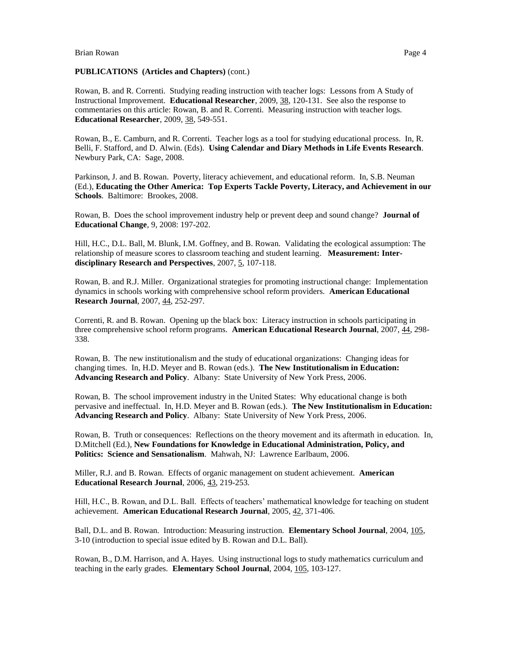## **PUBLICATIONS (Articles and Chapters)** (cont.)

Rowan, B. and R. Correnti. Studying reading instruction with teacher logs: Lessons from A Study of Instructional Improvement. **Educational Researcher**, 2009, 38, 120-131. See also the response to commentaries on this article: Rowan, B. and R. Correnti. Measuring instruction with teacher logs. **Educational Researcher**, 2009, 38, 549-551.

Rowan, B., E. Camburn, and R. Correnti. Teacher logs as a tool for studying educational process. In, R. Belli, F. Stafford, and D. Alwin. (Eds). **Using Calendar and Diary Methods in Life Events Research**. Newbury Park, CA: Sage, 2008.

Parkinson, J. and B. Rowan. Poverty, literacy achievement, and educational reform. In, S.B. Neuman (Ed.), **Educating the Other America: Top Experts Tackle Poverty, Literacy, and Achievement in our Schools**. Baltimore: Brookes, 2008.

Rowan, B. Does the school improvement industry help or prevent deep and sound change? **Journal of Educational Change**, 9, 2008: 197-202.

[Hill, H.C., D.L. Ball,](http://www.leaonline.com/action/doSearch?action=runSearch&type=advanced&result=true&prevSearch=%2Bauthorsfield%3A%28Hill%2C+Heather+C.%29) [M. Blunk,](http://www.leaonline.com/action/doSearch?action=runSearch&type=advanced&result=true&prevSearch=%2Bauthorsfield%3A%28Blunk%2C+Merrie%29) [I.M. Goffney,](http://www.leaonline.com/action/doSearch?action=runSearch&type=advanced&result=true&prevSearch=%2Bauthorsfield%3A%28Goffney%2C+Imani+Masters%29) and [B. Rowan.](http://www.leaonline.com/action/doSearch?action=runSearch&type=advanced&result=true&prevSearch=%2Bauthorsfield%3A%28Rowan%2C+Brian%29) Validating the ecological assumption: The relationship of measure scores to classroom teaching and student learning. **Measurement: Interdisciplinary Research and Perspectives**, 2007, 5, 107-118.

Rowan, B. and R.J. Miller. Organizational strategies for promoting instructional change: Implementation dynamics in schools working with comprehensive school reform providers. **American Educational Research Journal**, 2007, 44, 252-297.

Correnti, R. and B. Rowan. Opening up the black box: Literacy instruction in schools participating in three comprehensive school reform programs. **American Educational Research Journal**, 2007, 44, 298- 338.

Rowan, B. The new institutionalism and the study of educational organizations: Changing ideas for changing times. In, H.D. Meyer and B. Rowan (eds.). **The New Institutionalism in Education: Advancing Research and Policy**. Albany: State University of New York Press, 2006.

Rowan, B. The school improvement industry in the United States: Why educational change is both pervasive and ineffectual. In, H.D. Meyer and B. Rowan (eds.). **The New Institutionalism in Education: Advancing Research and Policy**. Albany: State University of New York Press, 2006.

Rowan, B. Truth or consequences: Reflections on the theory movement and its aftermath in education. In, D.Mitchell (Ed.), **New Foundations for Knowledge in Educational Administration, Policy, and Politics: Science and Sensationalism**. Mahwah, NJ: Lawrence Earlbaum, 2006.

Miller, R.J. and B. Rowan. Effects of organic management on student achievement. **American Educational Research Journal**, 2006, 43, 219-253.

Hill, H.C., B. Rowan, and D.L. Ball. Effects of teachers' mathematical knowledge for teaching on student achievement. **American Educational Research Journal**, 2005, 42, 371-406.

Ball, D.L. and B. Rowan. Introduction: Measuring instruction. **Elementary School Journal**, 2004, 105, 3-10 (introduction to special issue edited by B. Rowan and D.L. Ball).

Rowan, B., D.M. Harrison, and A. Hayes. Using instructional logs to study mathematics curriculum and teaching in the early grades. **Elementary School Journal**, 2004, 105, 103-127.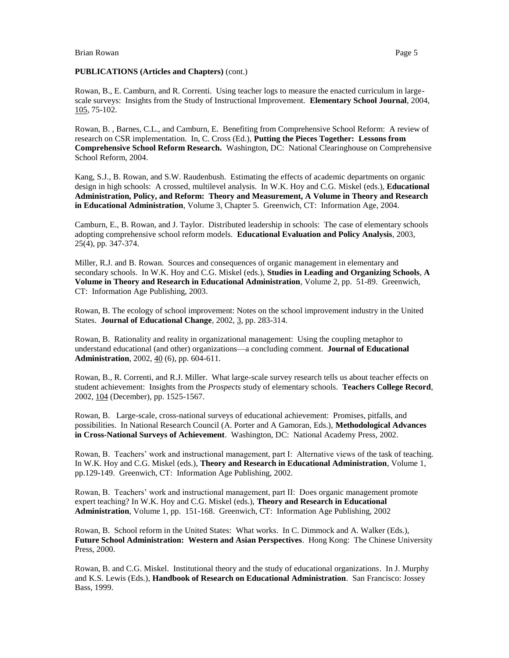## **PUBLICATIONS (Articles and Chapters)** (cont.)

Rowan, B., E. Camburn, and R. Correnti. Using teacher logs to measure the enacted curriculum in largescale surveys: Insights from the Study of Instructional Improvement. **Elementary School Journal**, 2004, 105, 75-102.

Rowan, B. , Barnes, C.L., and Camburn, E. Benefiting from Comprehensive School Reform: A review of research on CSR implementation. In, C. Cross (Ed.), **Putting the Pieces Together: Lessons from Comprehensive School Reform Research.** Washington, DC: National Clearinghouse on Comprehensive School Reform, 2004.

Kang, S.J., B. Rowan, and S.W. Raudenbush. Estimating the effects of academic departments on organic design in high schools: A crossed, multilevel analysis. In W.K. Hoy and C.G. Miskel (eds.), **Educational Administration, Policy, and Reform: Theory and Measurement, A Volume in Theory and Research in Educational Administration**, Volume 3, Chapter 5. Greenwich, CT: Information Age, 2004.

Camburn, E., B. Rowan, and J. Taylor. Distributed leadership in schools: The case of elementary schools adopting comprehensive school reform models. **Educational Evaluation and Policy Analysis**, 2003, 25(4), pp. 347-374.

Miller, R.J. and B. Rowan. Sources and consequences of organic management in elementary and secondary schools. In W.K. Hoy and C.G. Miskel (eds.), **Studies in Leading and Organizing Schools**, **A Volume in Theory and Research in Educational Administration**, Volume 2, pp. 51-89. Greenwich, CT: Information Age Publishing, 2003.

Rowan, B. The ecology of school improvement: Notes on the school improvement industry in the United States. **Journal of Educational Change**, 2002, 3, pp. 283-314.

Rowan, B. Rationality and reality in organizational management: Using the coupling metaphor to understand educational (and other) organizations—a concluding comment. **Journal of Educational Administration**, 2002, 40 (6), pp. 604-611.

Rowan, B., R. Correnti, and R.J. Miller. What large-scale survey research tells us about teacher effects on student achievement: Insights from the *Prospects* study of elementary schools. **Teachers College Record**, 2002, 104 (December), pp. 1525-1567.

Rowan, B. Large-scale, cross-national surveys of educational achievement: Promises, pitfalls, and possibilities. In National Research Council (A. Porter and A Gamoran, Eds.), **Methodological Advances in Cross-National Surveys of Achievement**. Washington, DC: National Academy Press, 2002.

Rowan, B. Teachers' work and instructional management, part I: Alternative views of the task of teaching. In W.K. Hoy and C.G. Miskel (eds.), **Theory and Research in Educational Administration**, Volume 1, pp.129-149. Greenwich, CT: Information Age Publishing, 2002.

Rowan, B. Teachers' work and instructional management, part II: Does organic management promote expert teaching? In W.K. Hoy and C.G. Miskel (eds.), **Theory and Research in Educational Administration**, Volume 1, pp. 151-168. Greenwich, CT: Information Age Publishing, 2002

Rowan, B. School reform in the United States: What works. In C. Dimmock and A. Walker (Eds.), **Future School Administration: Western and Asian Perspectives**. Hong Kong: The Chinese University Press, 2000.

Rowan, B. and C.G. Miskel. Institutional theory and the study of educational organizations. In J. Murphy and K.S. Lewis (Eds.), **Handbook of Research on Educational Administration**. San Francisco: Jossey Bass, 1999.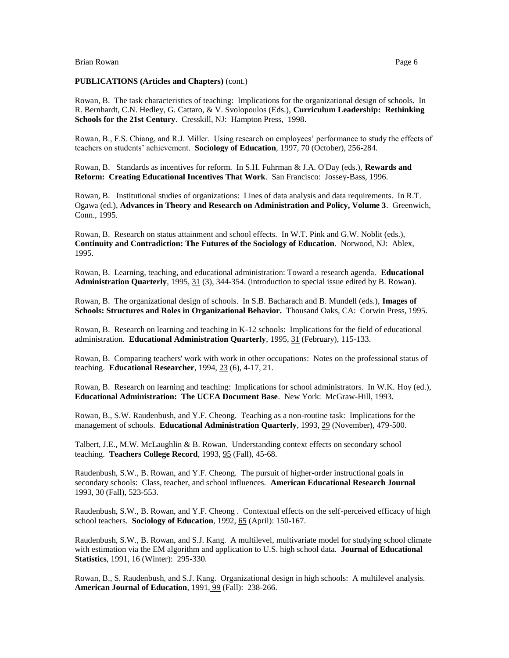### **PUBLICATIONS (Articles and Chapters)** (cont.)

Rowan, B. The task characteristics of teaching: Implications for the organizational design of schools. In R. Bernhardt, C.N. Hedley, G. Cattaro, & V. Svolopoulos (Eds.), **Curriculum Leadership: Rethinking Schools for the 21st Century**. Cresskill, NJ: Hampton Press, 1998.

Rowan, B., F.S. Chiang, and R.J. Miller. Using research on employees' performance to study the effects of teachers on students' achievement. **Sociology of Education**, 1997, 70 (October), 256-284.

Rowan, B. Standards as incentives for reform. In S.H. Fuhrman & J.A. O'Day (eds.), **Rewards and Reform: Creating Educational Incentives That Work**. San Francisco: Jossey-Bass, 1996.

Rowan, B. Institutional studies of organizations: Lines of data analysis and data requirements. In R.T. Ogawa (ed.), **Advances in Theory and Research on Administration and Policy, Volume 3**. Greenwich, Conn., 1995.

Rowan, B. Research on status attainment and school effects. In W.T. Pink and G.W. Noblit (eds.), **Continuity and Contradiction: The Futures of the Sociology of Education**. Norwood, NJ: Ablex, 1995.

Rowan, B. Learning, teaching, and educational administration: Toward a research agenda. **Educational Administration Quarterly**, 1995, 31 (3), 344-354. (introduction to special issue edited by B. Rowan).

Rowan, B. The organizational design of schools. In S.B. Bacharach and B. Mundell (eds.), **Images of Schools: Structures and Roles in Organizational Behavior.** Thousand Oaks, CA: Corwin Press, 1995.

Rowan, B. Research on learning and teaching in K-12 schools: Implications for the field of educational administration. **Educational Administration Quarterly**, 1995, 31 (February), 115-133.

Rowan, B. Comparing teachers' work with work in other occupations: Notes on the professional status of teaching. **Educational Researcher**, 1994, 23 (6), 4-17, 21.

Rowan, B. Research on learning and teaching: Implications for school administrators. In W.K. Hoy (ed.), **Educational Administration: The UCEA Document Base**. New York: McGraw-Hill, 1993.

Rowan, B., S.W. Raudenbush, and Y.F. Cheong. Teaching as a non-routine task: Implications for the management of schools. **Educational Administration Quarterly**, 1993, 29 (November), 479-500.

Talbert, J.E., M.W. McLaughlin & B. Rowan. Understanding context effects on secondary school teaching. **Teachers College Record**, 1993, 95 (Fall), 45-68.

Raudenbush, S.W., B. Rowan, and Y.F. Cheong. The pursuit of higher-order instructional goals in secondary schools: Class, teacher, and school influences. **American Educational Research Journal** 1993, 30 (Fall), 523-553.

Raudenbush, S.W., B. Rowan, and Y.F. Cheong . Contextual effects on the self-perceived efficacy of high school teachers. **Sociology of Education**, 1992, 65 (April): 150-167.

Raudenbush, S.W., B. Rowan, and S.J. Kang. A multilevel, multivariate model for studying school climate with estimation via the EM algorithm and application to U.S. high school data. **Journal of Educational Statistics**, 1991, 16 (Winter): 295-330.

Rowan, B., S. Raudenbush, and S.J. Kang. Organizational design in high schools: A multilevel analysis. **American Journal of Education**, 1991, 99 (Fall): 238-266.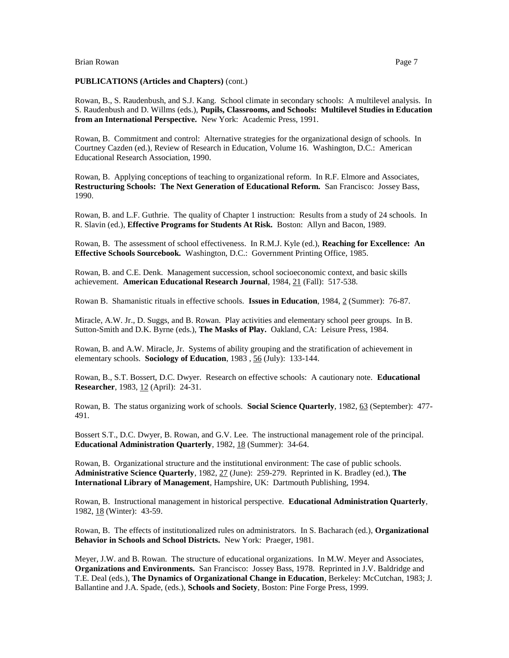### **PUBLICATIONS (Articles and Chapters)** (cont.)

Rowan, B., S. Raudenbush, and S.J. Kang. School climate in secondary schools: A multilevel analysis. In S. Raudenbush and D. Willms (eds.), **Pupils, Classrooms, and Schools: Multilevel Studies in Education from an International Perspective.** New York: Academic Press, 1991.

Rowan, B. Commitment and control: Alternative strategies for the organizational design of schools. In Courtney Cazden (ed.), Review of Research in Education, Volume 16. Washington, D.C.: American Educational Research Association, 1990.

Rowan, B. Applying conceptions of teaching to organizational reform. In R.F. Elmore and Associates, **Restructuring Schools: The Next Generation of Educational Reform.** San Francisco: Jossey Bass, 1990.

Rowan, B. and L.F. Guthrie. The quality of Chapter 1 instruction: Results from a study of 24 schools. In R. Slavin (ed.), **Effective Programs for Students At Risk.** Boston: Allyn and Bacon, 1989.

Rowan, B. The assessment of school effectiveness. In R.M.J. Kyle (ed.), **Reaching for Excellence: An Effective Schools Sourcebook.** Washington, D.C.: Government Printing Office, 1985.

Rowan, B. and C.E. Denk. Management succession, school socioeconomic context, and basic skills achievement. **American Educational Research Journal**, 1984, 21 (Fall): 517-538.

Rowan B. Shamanistic rituals in effective schools. **Issues in Education**, 1984, 2 (Summer): 76-87.

Miracle, A.W. Jr., D. Suggs, and B. Rowan. Play activities and elementary school peer groups. In B. Sutton-Smith and D.K. Byrne (eds.), **The Masks of Play.** Oakland, CA: Leisure Press, 1984.

Rowan, B. and A.W. Miracle, Jr. Systems of ability grouping and the stratification of achievement in elementary schools. **Sociology of Education**, 1983 , 56 (July): 133-144.

Rowan, B., S.T. Bossert, D.C. Dwyer. Research on effective schools: A cautionary note. **Educational Researcher**, 1983, 12 (April): 24-31.

Rowan, B. The status organizing work of schools. **Social Science Quarterly**, 1982, 63 (September): 477- 491.

Bossert S.T., D.C. Dwyer, B. Rowan, and G.V. Lee. The instructional management role of the principal. **Educational Administration Quarterly**, 1982, 18 (Summer): 34-64.

Rowan, B. Organizational structure and the institutional environment: The case of public schools. **Administrative Science Quarterly**, 1982, 27 (June): 259-279. Reprinted in K. Bradley (ed.), **The International Library of Management**, Hampshire, UK: Dartmouth Publishing, 1994.

Rowan, B. Instructional management in historical perspective. **Educational Administration Quarterly**, 1982, 18 (Winter): 43-59.

Rowan, B. The effects of institutionalized rules on administrators. In S. Bacharach (ed.), **Organizational Behavior in Schools and School Districts.** New York: Praeger, 1981.

Meyer, J.W. and B. Rowan. The structure of educational organizations. In M.W. Meyer and Associates, **Organizations and Environments.** San Francisco: Jossey Bass, 1978. Reprinted in J.V. Baldridge and T.E. Deal (eds.), **The Dynamics of Organizational Change in Education**, Berkeley: McCutchan, 1983; J. Ballantine and J.A. Spade, (eds.), **Schools and Society**, Boston: Pine Forge Press, 1999.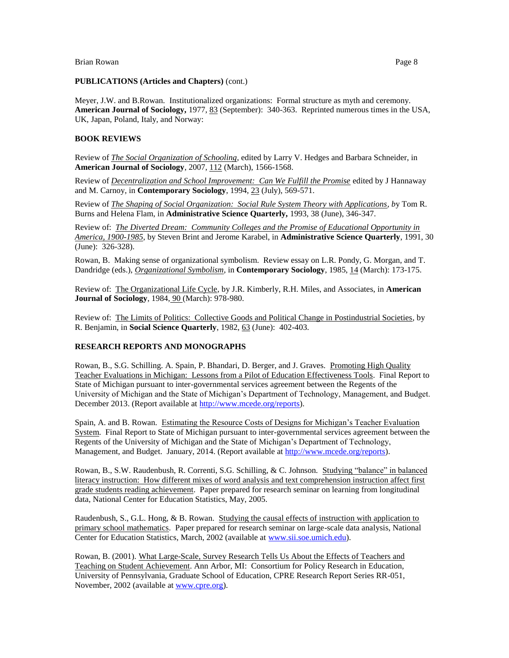### **PUBLICATIONS (Articles and Chapters)** (cont.)

Meyer, J.W. and B.Rowan. Institutionalized organizations: Formal structure as myth and ceremony. **American Journal of Sociology,** 1977, 83 (September): 340-363. Reprinted numerous times in the USA, UK, Japan, Poland, Italy, and Norway:

## **BOOK REVIEWS**

Review of *The Social Organization of Schooling*, edited by Larry V. Hedges and Barbara Schneider, in **American Journal of Sociology**, 2007, 112 (March), 1566-1568.

Review of *Decentralization and School Improvement: Can We Fulfill the Promise* edited by J Hannaway and M. Carnoy, in **Contemporary Sociology**, 1994, 23 (July), 569-571.

Review of *The Shaping of Social Organization: Social Rule System Theory with Applications, b*y Tom R. Burns and Helena Flam, in **Administrative Science Quarterly,** 1993, 38 (June), 346-347.

Review of: *The Diverted Dream: Community Colleges and the Promise of Educational Opportunity in America, 1900-1985*, by Steven Brint and Jerome Karabel, in **Administrative Science Quarterly**, 1991, 30 (June): 326-328).

Rowan, B. Making sense of organizational symbolism. Review essay on L.R. Pondy, G. Morgan, and T. Dandridge (eds.), *Organizational Symbolism*, in **Contemporary Sociology**, 1985, 14 (March): 173-175.

Review of: The Organizational Life Cycle, by J.R. Kimberly, R.H. Miles, and Associates, in **American Journal of Sociology**, 1984, 90 (March): 978-980.

Review of: The Limits of Politics: Collective Goods and Political Change in Postindustrial Societies, by R. Benjamin, in **Social Science Quarterly**, 1982, 63 (June): 402-403.

## **RESEARCH REPORTS AND MONOGRAPHS**

Rowan, B., S.G. Schilling. A. Spain, P. Bhandari, D. Berger, and J. Graves. Promoting High Quality Teacher Evaluations in Michigan: Lessons from a Pilot of Education Effectiveness Tools. Final Report to State of Michigan pursuant to inter-governmental services agreement between the Regents of the University of Michigan and the State of Michigan's Department of Technology, Management, and Budget. December 2013. (Report available at [http://www.mcede.org/reports\)](http://www.mcede.org/reports).

Spain, A. and B. Rowan. Estimating the Resource Costs of Designs for Michigan's Teacher Evaluation System. Final Report to State of Michigan pursuant to inter-governmental services agreement between the Regents of the University of Michigan and the State of Michigan's Department of Technology, Management, and Budget. January, 2014. (Report available at [http://www.mcede.org/reports\)](http://www.mcede.org/reports).

Rowan, B., S.W. Raudenbush, R. Correnti, S.G. Schilling, & C. Johnson. Studying "balance" in balanced literacy instruction: How different mixes of word analysis and text comprehension instruction affect first grade students reading achievement. Paper prepared for research seminar on learning from longitudinal data, National Center for Education Statistics, May, 2005.

Raudenbush, S., G.L. Hong, & B. Rowan. Studying the causal effects of instruction with application to primary school mathematics. Paper prepared for research seminar on large-scale data analysis, National Center for Education Statistics, March, 2002 (available a[t www.sii.soe.umich.edu\)](http://www.sii.soe.umich.edu/).

Rowan, B. (2001). What Large-Scale, Survey Research Tells Us About the Effects of Teachers and Teaching on Student Achievement. Ann Arbor, MI: Consortium for Policy Research in Education, University of Pennsylvania, Graduate School of Education, CPRE Research Report Series RR-051, November, 2002 (available at [www.cpre.org\)](http://www.cpre.org/).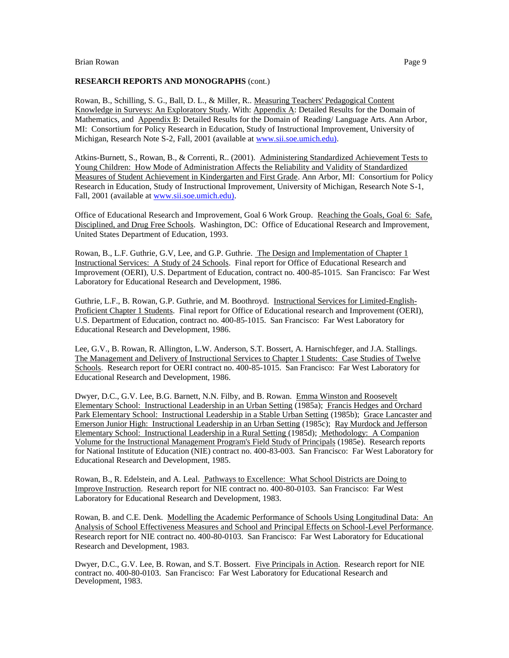### **RESEARCH REPORTS AND MONOGRAPHS** (cont.)

Rowan, B., Schilling, S. G., Ball, D. L., & Miller, R.. Measuring Teachers' Pedagogical Content Knowledge in Surveys: An Exploratory Study. With: Appendix A: Detailed Results for the Domain of Mathematics, and Appendix B: Detailed Results for the Domain of Reading/ Language Arts. Ann Arbor, MI: Consortium for Policy Research in Education, Study of Instructional Improvement, University of Michigan, Research Note S-2, Fall, 2001 (available at [www.sii.soe.umich.edu\).](http://www.sii.soe.umich.edu)/)

Atkins-Burnett, S., Rowan, B., & Correnti, R.. (2001). Administering Standardized Achievement Tests to Young Children: How Mode of Administration Affects the Reliability and Validity of Standardized Measures of Student Achievement in Kindergarten and First Grade. Ann Arbor, MI: Consortium for Policy Research in Education, Study of Instructional Improvement, University of Michigan, Research Note S-1, Fall, 2001 (available a[t www.sii.soe.umich.edu\).](http://www.sii.soe.umich.edu)/)

Office of Educational Research and Improvement, Goal 6 Work Group. Reaching the Goals, Goal 6: Safe, Disciplined, and Drug Free Schools. Washington, DC: Office of Educational Research and Improvement, United States Department of Education, 1993.

Rowan, B., L.F. Guthrie, G.V, Lee, and G.P. Guthrie. The Design and Implementation of Chapter 1 Instructional Services: A Study of 24 Schools. Final report for Office of Educational Research and Improvement (OERI), U.S. Department of Education, contract no. 400-85-1015. San Francisco: Far West Laboratory for Educational Research and Development, 1986.

Guthrie, L.F., B. Rowan, G.P. Guthrie, and M. Boothroyd. Instructional Services for Limited-English-Proficient Chapter 1 Students. Final report for Office of Educational research and Improvement (OERI), U.S. Department of Education, contract no. 400-85-1015. San Francisco: Far West Laboratory for Educational Research and Development, 1986.

Lee, G.V., B. Rowan, R. Allington, L.W. Anderson, S.T. Bossert, A. Harnischfeger, and J.A. Stallings. The Management and Delivery of Instructional Services to Chapter 1 Students: Case Studies of Twelve Schools. Research report for OERI contract no. 400-85-1015. San Francisco: Far West Laboratory for Educational Research and Development, 1986.

Dwyer, D.C., G.V. Lee, B.G. Barnett, N.N. Filby, and B. Rowan. Emma Winston and Roosevelt Elementary School: Instructional Leadership in an Urban Setting (1985a); Francis Hedges and Orchard Park Elementary School: Instructional Leadership in a Stable Urban Setting (1985b); Grace Lancaster and Emerson Junior High: Instructional Leadership in an Urban Setting (1985c); Ray Murdock and Jefferson Elementary School: Instructional Leadership in a Rural Setting (1985d); Methodology: A Companion Volume for the Instructional Management Program's Field Study of Principals (1985e). Research reports for National Institute of Education (NIE) contract no. 400-83-003. San Francisco: Far West Laboratory for Educational Research and Development, 1985.

Rowan, B., R. Edelstein, and A. Leal. Pathways to Excellence: What School Districts are Doing to Improve Instruction. Research report for NIE contract no. 400-80-0103. San Francisco: Far West Laboratory for Educational Research and Development, 1983.

Rowan, B. and C.E. Denk. Modelling the Academic Performance of Schools Using Longitudinal Data: An Analysis of School Effectiveness Measures and School and Principal Effects on School-Level Performance. Research report for NIE contract no. 400-80-0103. San Francisco: Far West Laboratory for Educational Research and Development, 1983.

Dwyer, D.C., G.V. Lee, B. Rowan, and S.T. Bossert. Five Principals in Action. Research report for NIE contract no. 400-80-0103. San Francisco: Far West Laboratory for Educational Research and Development, 1983.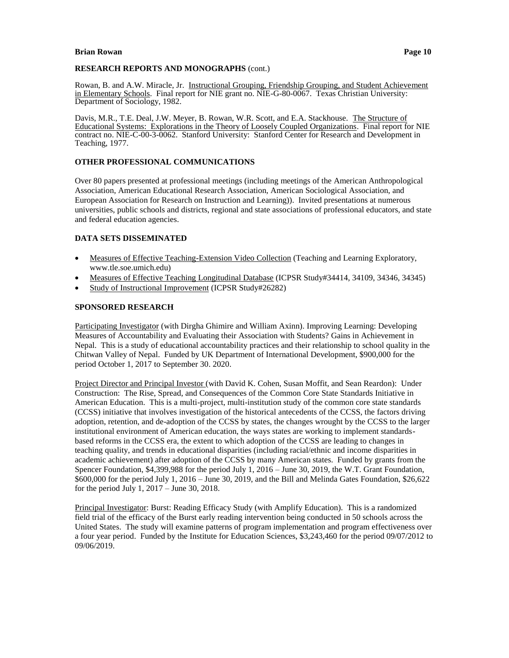## **RESEARCH REPORTS AND MONOGRAPHS** (cont.)

Rowan, B. and A.W. Miracle, Jr. Instructional Grouping, Friendship Grouping, and Student Achievement in Elementary Schools. Final report for NIE grant no. NIE-G-80-0067. Texas Christian University: Department of Sociology, 1982.

Davis, M.R., T.E. Deal, J.W. Meyer, B. Rowan, W.R. Scott, and E.A. Stackhouse. The Structure of Educational Systems: Explorations in the Theory of Loosely Coupled Organizations. Final report for NIE contract no. NIE-C-00-3-0062. Stanford University: Stanford Center for Research and Development in Teaching, 1977.

### **OTHER PROFESSIONAL COMMUNICATIONS**

Over 80 papers presented at professional meetings (including meetings of the American Anthropological Association, American Educational Research Association, American Sociological Association, and European Association for Research on Instruction and Learning)). Invited presentations at numerous universities, public schools and districts, regional and state associations of professional educators, and state and federal education agencies.

#### **DATA SETS DISSEMINATED**

- Measures of Effective Teaching-Extension Video Collection (Teaching and Learning Exploratory, www.tle.soe.umich.edu)
- Measures of Effective Teaching Longitudinal Database (ICPSR Study#34414, 34109, 34346, 34345)
- Study of Instructional Improvement (ICPSR Study#26282)

## **SPONSORED RESEARCH**

Participating Investigator (with Dirgha Ghimire and William Axinn). Improving Learning: Developing Measures of Accountability and Evaluating their Association with Students? Gains in Achievement in Nepal. This is a study of educational accountability practices and their relationship to school quality in the Chitwan Valley of Nepal. Funded by UK Department of International Development, \$900,000 for the period October 1, 2017 to September 30. 2020.

Project Director and Principal Investor (with David K. Cohen, Susan Moffit, and Sean Reardon): Under Construction: The Rise, Spread, and Consequences of the Common Core State Standards Initiative in American Education. This is a multi-project, multi-institution study of the common core state standards (CCSS) initiative that involves investigation of the historical antecedents of the CCSS, the factors driving adoption, retention, and de-adoption of the CCSS by states, the changes wrought by the CCSS to the larger institutional environment of American education, the ways states are working to implement standardsbased reforms in the CCSS era, the extent to which adoption of the CCSS are leading to changes in teaching quality, and trends in educational disparities (including racial/ethnic and income disparities in academic achievement) after adoption of the CCSS by many American states. Funded by grants from the Spencer Foundation, \$4,399,988 for the period July 1, 2016 – June 30, 2019, the W.T. Grant Foundation, \$600,000 for the period July 1, 2016 – June 30, 2019, and the Bill and Melinda Gates Foundation, \$26,622 for the period July 1, 2017 – June 30, 2018.

Principal Investigator: Burst: Reading Efficacy Study (with Amplify Education). This is a randomized field trial of the efficacy of the Burst early reading intervention being conducted in 50 schools across the United States. The study will examine patterns of program implementation and program effectiveness over a four year period. Funded by the Institute for Education Sciences, \$3,243,460 for the period 09/07/2012 to 09/06/2019.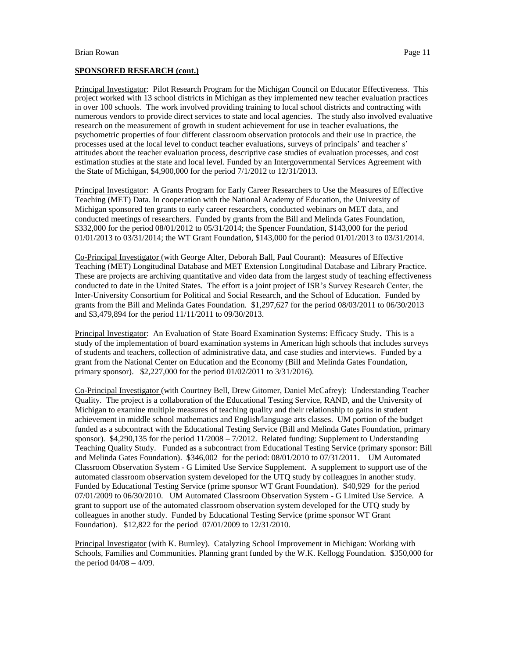#### **SPONSORED RESEARCH (cont.)**

Principal Investigator: Pilot Research Program for the Michigan Council on Educator Effectiveness. This project worked with 13 school districts in Michigan as they implemented new teacher evaluation practices in over 100 schools. The work involved providing training to local school districts and contracting with numerous vendors to provide direct services to state and local agencies. The study also involved evaluative research on the measurement of growth in student achievement for use in teacher evaluations, the psychometric properties of four different classroom observation protocols and their use in practice, the processes used at the local level to conduct teacher evaluations, surveys of principals' and teacher s' attitudes about the teacher evaluation process, descriptive case studies of evaluation processes, and cost estimation studies at the state and local level. Funded by an Intergovernmental Services Agreement with the State of Michigan, \$4,900,000 for the period 7/1/2012 to 12/31/2013.

Principal Investigator: A Grants Program for Early Career Researchers to Use the Measures of Effective Teaching (MET) Data. In cooperation with the National Academy of Education, the University of Michigan sponsored ten grants to early career researchers, conducted webinars on MET data, and conducted meetings of researchers. Funded by grants from the Bill and Melinda Gates Foundation, \$332,000 for the period 08/01/2012 to 05/31/2014; the Spencer Foundation, \$143,000 for the period 01/01/2013 to 03/31/2014; the WT Grant Foundation, \$143,000 for the period 01/01/2013 to 03/31/2014.

Co-Principal Investigator (with George Alter, Deborah Ball, Paul Courant): Measures of Effective Teaching (MET) Longitudinal Database and MET Extension Longitudinal Database and Library Practice. These are projects are archiving quantitative and video data from the largest study of teaching effectiveness conducted to date in the United States. The effort is a joint project of ISR's Survey Research Center, the Inter-University Consortium for Political and Social Research, and the School of Education. Funded by grants from the Bill and Melinda Gates Foundation. \$1,297,627 for the period 08/03/2011 to 06/30/2013 and \$3,479,894 for the period 11/11/2011 to 09/30/2013.

Principal Investigator: An Evaluation of State Board Examination Systems: Efficacy Study**.** This is a study of the implementation of board examination systems in American high schools that includes surveys of students and teachers, collection of administrative data, and case studies and interviews. Funded by a grant from the National Center on Education and the Economy (Bill and Melinda Gates Foundation, primary sponsor). \$2,227,000 for the period 01/02/2011 to 3/31/2016).

Co-Principal Investigator (with Courtney Bell, Drew Gitomer, Daniel McCafrey): Understanding Teacher Quality. The project is a collaboration of the Educational Testing Service, RAND, and the University of Michigan to examine multiple measures of teaching quality and their relationship to gains in student achievement in middle school mathematics and English/language arts classes. UM portion of the budget funded as a subcontract with the Educational Testing Service (Bill and Melinda Gates Foundation, primary sponsor). \$4,290,135 for the period 11/2008 – 7/2012. Related funding: Supplement to Understanding Teaching Quality Study. Funded as a subcontract from Educational Testing Service (primary sponsor: Bill and Melinda Gates Foundation). \$346,002 for the period: 08/01/2010 to 07/31/2011. UM Automated Classroom Observation System - G Limited Use Service Supplement. A supplement to support use of the automated classroom observation system developed for the UTQ study by colleagues in another study. Funded by Educational Testing Service (prime sponsor WT Grant Foundation). \$40,929 for the period 07/01/2009 to 06/30/2010. UM Automated Classroom Observation System - G Limited Use Service. A grant to support use of the automated classroom observation system developed for the UTQ study by colleagues in another study. Funded by Educational Testing Service (prime sponsor WT Grant Foundation). \$12,822 for the period 07/01/2009 to 12/31/2010.

Principal Investigator (with K. Burnley). Catalyzing School Improvement in Michigan: Working with Schools, Families and Communities. Planning grant funded by the W.K. Kellogg Foundation. \$350,000 for the period  $04/08 - 4/09$ .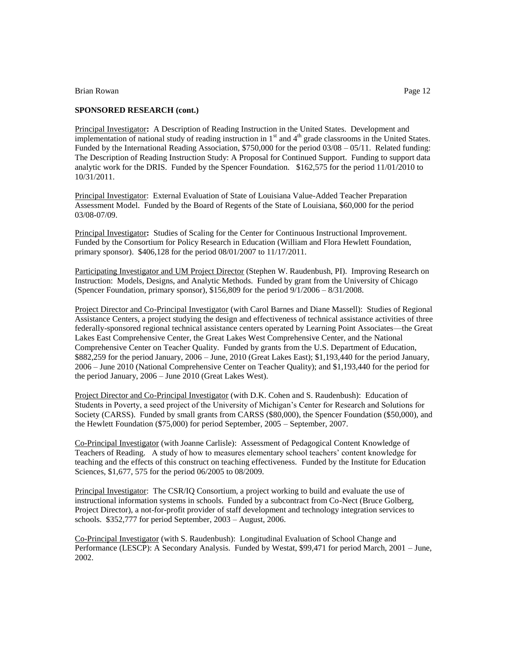## **SPONSORED RESEARCH (cont.)**

Principal Investigator**:** A Description of Reading Instruction in the United States. Development and implementation of national study of reading instruction in 1<sup>st</sup> and 4<sup>th</sup> grade classrooms in the United States. Funded by the International Reading Association, \$750,000 for the period 03/08 – 05/11. Related funding: The Description of Reading Instruction Study: A Proposal for Continued Support. Funding to support data analytic work for the DRIS. Funded by the Spencer Foundation. \$162,575 for the period 11/01/2010 to 10/31/2011.

Principal Investigator: External Evaluation of State of Louisiana Value-Added Teacher Preparation Assessment Model. Funded by the Board of Regents of the State of Louisiana, \$60,000 for the period 03/08-07/09.

Principal Investigator**:** Studies of Scaling for the Center for Continuous Instructional Improvement. Funded by the Consortium for Policy Research in Education (William and Flora Hewlett Foundation, primary sponsor). \$406,128 for the period 08/01/2007 to 11/17/2011.

Participating Investigator and UM Project Director (Stephen W. Raudenbush, PI). Improving Research on Instruction: Models, Designs, and Analytic Methods. Funded by grant from the University of Chicago (Spencer Foundation, primary sponsor), \$156,809 for the period 9/1/2006 – 8/31/2008.

Project Director and Co-Principal Investigator (with Carol Barnes and Diane Massell): Studies of Regional Assistance Centers, a project studying the design and effectiveness of technical assistance activities of three federally-sponsored regional technical assistance centers operated by Learning Point Associates—the Great Lakes East Comprehensive Center, the Great Lakes West Comprehensive Center, and the National Comprehensive Center on Teacher Quality. Funded by grants from the U.S. Department of Education, \$882,259 for the period January, 2006 – June, 2010 (Great Lakes East); \$1,193,440 for the period January, 2006 – June 2010 (National Comprehensive Center on Teacher Quality); and \$1,193,440 for the period for the period January, 2006 – June 2010 (Great Lakes West).

Project Director and Co-Principal Investigator (with D.K. Cohen and S. Raudenbush): Education of Students in Poverty, a seed project of the University of Michigan's Center for Research and Solutions for Society (CARSS). Funded by small grants from CARSS (\$80,000), the Spencer Foundation (\$50,000), and the Hewlett Foundation (\$75,000) for period September, 2005 – September, 2007.

Co-Principal Investigator (with Joanne Carlisle): Assessment of Pedagogical Content Knowledge of Teachers of Reading. A study of how to measures elementary school teachers' content knowledge for teaching and the effects of this construct on teaching effectiveness. Funded by the Institute for Education Sciences, \$1,677, 575 for the period 06/2005 to 08/2009.

Principal Investigator: The CSR/IQ Consortium, a project working to build and evaluate the use of instructional information systems in schools. Funded by a subcontract from Co-Nect (Bruce Golberg, Project Director), a not-for-profit provider of staff development and technology integration services to schools. \$352,777 for period September, 2003 – August, 2006.

Co-Principal Investigator (with S. Raudenbush): Longitudinal Evaluation of School Change and Performance (LESCP): A Secondary Analysis. Funded by Westat, \$99,471 for period March, 2001 – June, 2002.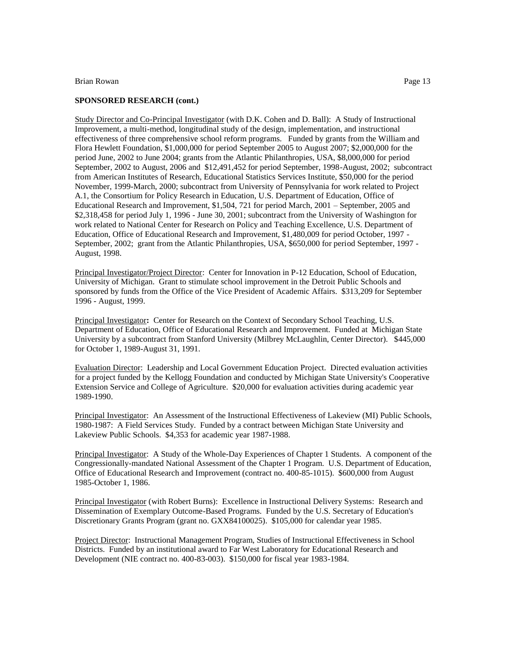### **SPONSORED RESEARCH (cont.)**

Study Director and Co-Principal Investigator (with D.K. Cohen and D. Ball): A Study of Instructional Improvement, a multi-method, longitudinal study of the design, implementation, and instructional effectiveness of three comprehensive school reform programs. Funded by grants from the William and Flora Hewlett Foundation, \$1,000,000 for period September 2005 to August 2007; \$2,000,000 for the period June, 2002 to June 2004; grants from the Atlantic Philanthropies, USA, \$8,000,000 for period September, 2002 to August, 2006 and \$12,491,452 for period September, 1998-August, 2002; subcontract from American Institutes of Research, Educational Statistics Services Institute, \$50,000 for the period November, 1999-March, 2000; subcontract from University of Pennsylvania for work related to Project A.1, the Consortium for Policy Research in Education, U.S. Department of Education, Office of Educational Research and Improvement, \$1,504, 721 for period March, 2001 – September, 2005 and \$2,318,458 for period July 1, 1996 - June 30, 2001; subcontract from the University of Washington for work related to National Center for Research on Policy and Teaching Excellence, U.S. Department of Education, Office of Educational Research and Improvement, \$1,480,009 for period October, 1997 - September, 2002; grant from the Atlantic Philanthropies, USA, \$650,000 for period September, 1997 - August, 1998.

Principal Investigator/Project Director: Center for Innovation in P-12 Education, School of Education, University of Michigan. Grant to stimulate school improvement in the Detroit Public Schools and sponsored by funds from the Office of the Vice President of Academic Affairs. \$313,209 for September 1996 - August, 1999.

Principal Investigator**:** Center for Research on the Context of Secondary School Teaching, U.S. Department of Education, Office of Educational Research and Improvement. Funded at Michigan State University by a subcontract from Stanford University (Milbrey McLaughlin, Center Director). \$445,000 for October 1, 1989-August 31, 1991.

Evaluation Director: Leadership and Local Government Education Project. Directed evaluation activities for a project funded by the Kellogg Foundation and conducted by Michigan State University's Cooperative Extension Service and College of Agriculture. \$20,000 for evaluation activities during academic year 1989-1990.

Principal Investigator: An Assessment of the Instructional Effectiveness of Lakeview (MI) Public Schools, 1980-1987: A Field Services Study. Funded by a contract between Michigan State University and Lakeview Public Schools. \$4,353 for academic year 1987-1988.

Principal Investigator: A Study of the Whole-Day Experiences of Chapter 1 Students. A component of the Congressionally-mandated National Assessment of the Chapter 1 Program. U.S. Department of Education, Office of Educational Research and Improvement (contract no. 400-85-1015). \$600,000 from August 1985-October 1, 1986.

Principal Investigator (with Robert Burns): Excellence in Instructional Delivery Systems: Research and Dissemination of Exemplary Outcome-Based Programs. Funded by the U.S. Secretary of Education's Discretionary Grants Program (grant no. GXX84100025). \$105,000 for calendar year 1985.

Project Director: Instructional Management Program, Studies of Instructional Effectiveness in School Districts. Funded by an institutional award to Far West Laboratory for Educational Research and Development (NIE contract no. 400-83-003). \$150,000 for fiscal year 1983-1984.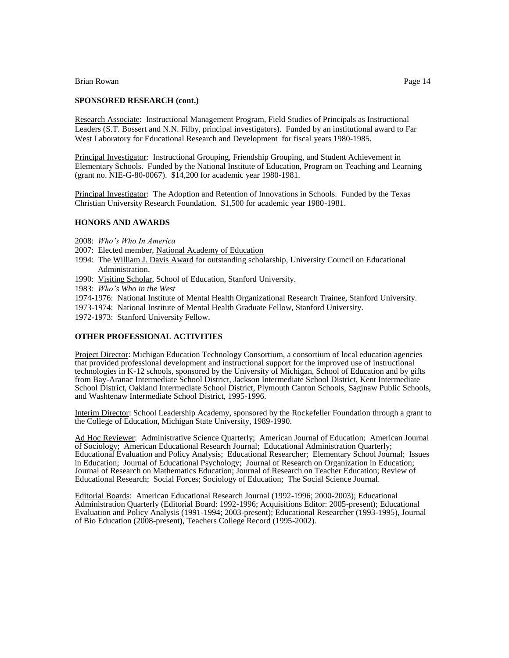#### **SPONSORED RESEARCH (cont.)**

Research Associate: Instructional Management Program, Field Studies of Principals as Instructional Leaders (S.T. Bossert and N.N. Filby, principal investigators). Funded by an institutional award to Far West Laboratory for Educational Research and Development for fiscal years 1980-1985.

Principal Investigator: Instructional Grouping, Friendship Grouping, and Student Achievement in Elementary Schools. Funded by the National Institute of Education, Program on Teaching and Learning (grant no. NIE-G-80-0067). \$14,200 for academic year 1980-1981.

Principal Investigator: The Adoption and Retention of Innovations in Schools. Funded by the Texas Christian University Research Foundation. \$1,500 for academic year 1980-1981.

### **HONORS AND AWARDS**

- 2008: *Who's Who In America*
- 2007: Elected member, National Academy of Education
- 1994: The William J. Davis Award for outstanding scholarship, University Council on Educational Administration.
- 1990: Visiting Scholar, School of Education, Stanford University.
- 1983: *Who's Who in the West*
- 1974-1976: National Institute of Mental Health Organizational Research Trainee, Stanford University.
- 1973-1974: National Institute of Mental Health Graduate Fellow, Stanford University.
- 1972-1973: Stanford University Fellow.

#### **OTHER PROFESSIONAL ACTIVITIES**

Project Director: Michigan Education Technology Consortium, a consortium of local education agencies that provided professional development and instructional support for the improved use of instructional technologies in K-12 schools, sponsored by the University of Michigan, School of Education and by gifts from Bay-Aranac Intermediate School District, Jackson Intermediate School District, Kent Intermediate School District, Oakland Intermediate School District, Plymouth Canton Schools, Saginaw Public Schools, and Washtenaw Intermediate School District, 1995-1996.

Interim Director: School Leadership Academy, sponsored by the Rockefeller Foundation through a grant to the College of Education, Michigan State University, 1989-1990.

Ad Hoc Reviewer: Administrative Science Quarterly; American Journal of Education; American Journal of Sociology; American Educational Research Journal; Educational Administration Quarterly; Educational Evaluation and Policy Analysis; Educational Researcher; Elementary School Journal; Issues in Education; Journal of Educational Psychology; Journal of Research on Organization in Education; Journal of Research on Mathematics Education; Journal of Research on Teacher Education; Review of Educational Research; Social Forces; Sociology of Education; The Social Science Journal.

Editorial Boards: American Educational Research Journal (1992-1996; 2000-2003); Educational Administration Quarterly (Editorial Board: 1992-1996; Acquisitions Editor: 2005-present); Educational Evaluation and Policy Analysis (1991-1994; 2003-present); Educational Researcher (1993-1995), Journal of Bio Education (2008-present), Teachers College Record (1995-2002).